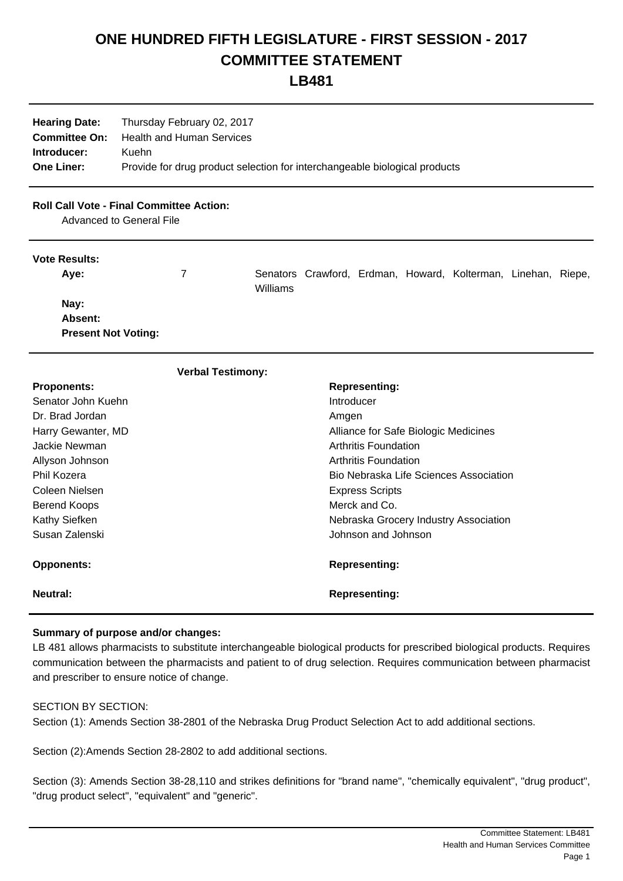# **ONE HUNDRED FIFTH LEGISLATURE - FIRST SESSION - 2017 COMMITTEE STATEMENT**

**LB481**

| <b>Hearing Date:</b> | Thursday February 02, 2017                                                 |
|----------------------|----------------------------------------------------------------------------|
| <b>Committee On:</b> | Health and Human Services                                                  |
| Introducer:          | Kuehn                                                                      |
| <b>One Liner:</b>    | Provide for drug product selection for interchangeable biological products |

## **Roll Call Vote - Final Committee Action:**

Advanced to General File

#### **Vote Results:**

| Ave:                       |          |  | Senators Crawford, Erdman, Howard, Kolterman, Linehan, Riepe, |  |
|----------------------------|----------|--|---------------------------------------------------------------|--|
|                            | Williams |  |                                                               |  |
| Nay:                       |          |  |                                                               |  |
| Absent:                    |          |  |                                                               |  |
| <b>Present Not Voting:</b> |          |  |                                                               |  |

| <b>Verbal Testimony:</b> |                                        |  |  |  |  |
|--------------------------|----------------------------------------|--|--|--|--|
| <b>Proponents:</b>       | <b>Representing:</b>                   |  |  |  |  |
| Senator John Kuehn       | Introducer                             |  |  |  |  |
| Dr. Brad Jordan          | Amgen                                  |  |  |  |  |
| Harry Gewanter, MD       | Alliance for Safe Biologic Medicines   |  |  |  |  |
| Jackie Newman            | Arthritis Foundation                   |  |  |  |  |
| Allyson Johnson          | Arthritis Foundation                   |  |  |  |  |
| Phil Kozera              | Bio Nebraska Life Sciences Association |  |  |  |  |
| Coleen Nielsen           | <b>Express Scripts</b>                 |  |  |  |  |
| Berend Koops             | Merck and Co.                          |  |  |  |  |
| Kathy Siefken            | Nebraska Grocery Industry Association  |  |  |  |  |
| Susan Zalenski           | Johnson and Johnson                    |  |  |  |  |
| <b>Opponents:</b>        | <b>Representing:</b>                   |  |  |  |  |
| <b>Neutral:</b>          | <b>Representing:</b>                   |  |  |  |  |

## **Summary of purpose and/or changes:**

LB 481 allows pharmacists to substitute interchangeable biological products for prescribed biological products. Requires communication between the pharmacists and patient to of drug selection. Requires communication between pharmacist and prescriber to ensure notice of change.

## SECTION BY SECTION:

Section (1): Amends Section 38-2801 of the Nebraska Drug Product Selection Act to add additional sections.

Section (2):Amends Section 28-2802 to add additional sections.

Section (3): Amends Section 38-28,110 and strikes definitions for "brand name", "chemically equivalent", "drug product", "drug product select", "equivalent" and "generic".